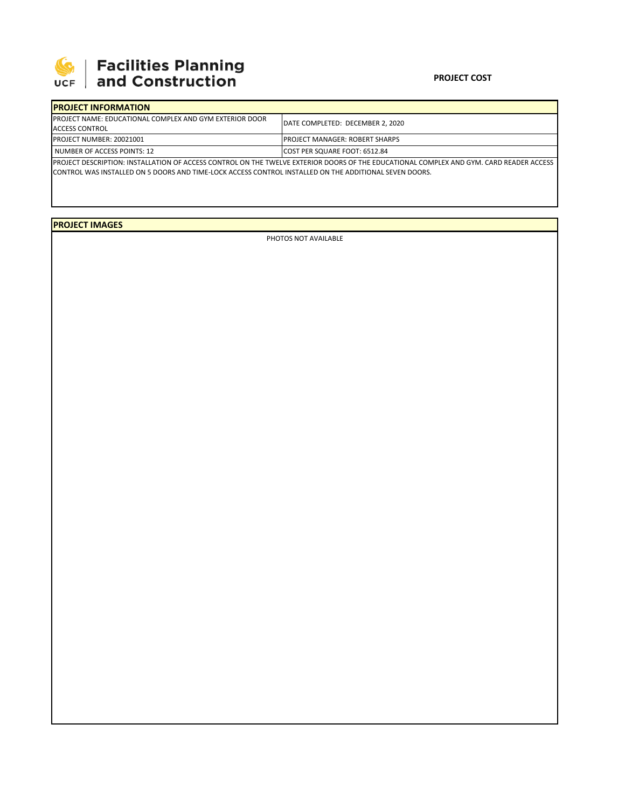

## **SEPTE AND Facilities Planning**<br>UCF and Construction

## **PROJECT COST**

| <b>IPROJECT INFORMATION</b>                                     |                                                                                                                                          |
|-----------------------------------------------------------------|------------------------------------------------------------------------------------------------------------------------------------------|
| <b>IPROJECT NAME: EDUCATIONAL COMPLEX AND GYM EXTERIOR DOOR</b> | DATE COMPLETED: DECEMBER 2, 2020                                                                                                         |
| ACCESS CONTROL                                                  |                                                                                                                                          |
| PROJECT NUMBER: 20021001                                        | <b>IPROJECT MANAGER: ROBERT SHARPS</b>                                                                                                   |
| I NUMBER OF ACCESS POINTS: 12                                   | <b>ICOST PER SQUARE FOOT: 6512.84</b>                                                                                                    |
|                                                                 | IPROJECT DESCRIPTION: INSTALLATION OF ACCESS CONTROL ON THE TWELVE EXTERIOR DOORS OF THE EDUCATIONAL COMPLEX AND GYM. CARD READER ACCESS |

CONTROL WAS INSTALLED ON 5 DOORS AND TIME‐LOCK ACCESS CONTROL INSTALLED ON THE ADDITIONAL SEVEN DOORS.

**PROJECT IMAGES**

PHOTOS NOT AVAILABLE